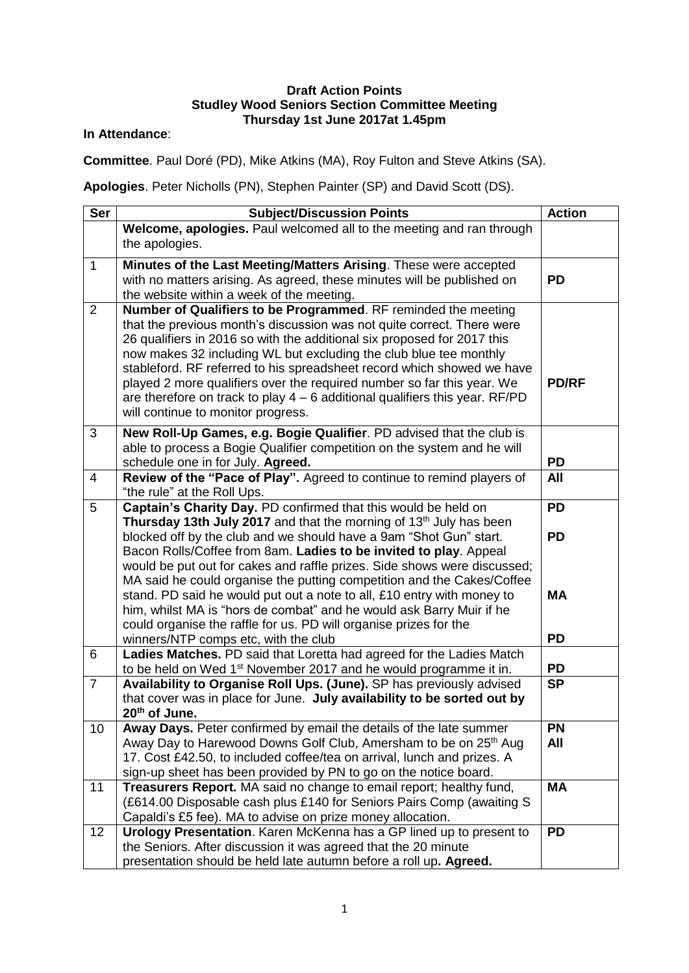## **Draft Action Points Studley Wood Seniors Section Committee Meeting Thursday 1st June 2017at 1.45pm**

## **In Attendance**:

**Committee**. Paul Doré (PD), Mike Atkins (MA), Roy Fulton and Steve Atkins (SA).

**Apologies**. Peter Nicholls (PN), Stephen Painter (SP) and David Scott (DS).

| <b>Ser</b>     | <b>Subject/Discussion Points</b>                                                                                                                        | <b>Action</b> |
|----------------|---------------------------------------------------------------------------------------------------------------------------------------------------------|---------------|
|                | Welcome, apologies. Paul welcomed all to the meeting and ran through                                                                                    |               |
|                | the apologies.                                                                                                                                          |               |
| $\mathbf{1}$   | Minutes of the Last Meeting/Matters Arising. These were accepted                                                                                        |               |
|                | with no matters arising. As agreed, these minutes will be published on                                                                                  | <b>PD</b>     |
|                | the website within a week of the meeting.                                                                                                               |               |
| 2              | Number of Qualifiers to be Programmed. RF reminded the meeting                                                                                          |               |
|                | that the previous month's discussion was not quite correct. There were                                                                                  |               |
|                | 26 qualifiers in 2016 so with the additional six proposed for 2017 this                                                                                 |               |
|                | now makes 32 including WL but excluding the club blue tee monthly                                                                                       |               |
|                | stableford. RF referred to his spreadsheet record which showed we have                                                                                  | <b>PD/RF</b>  |
|                | played 2 more qualifiers over the required number so far this year. We<br>are therefore on track to play $4 - 6$ additional qualifiers this year. RF/PD |               |
|                | will continue to monitor progress.                                                                                                                      |               |
|                |                                                                                                                                                         |               |
| 3              | New Roll-Up Games, e.g. Bogie Qualifier. PD advised that the club is                                                                                    |               |
|                | able to process a Bogie Qualifier competition on the system and he will<br>schedule one in for July. Agreed.                                            | <b>PD</b>     |
| $\overline{4}$ | Review of the "Pace of Play". Agreed to continue to remind players of                                                                                   | All           |
|                | "the rule" at the Roll Ups.                                                                                                                             |               |
| 5              | Captain's Charity Day. PD confirmed that this would be held on                                                                                          | <b>PD</b>     |
|                | Thursday 13th July 2017 and that the morning of 13 <sup>th</sup> July has been                                                                          |               |
|                | blocked off by the club and we should have a 9am "Shot Gun" start.                                                                                      | <b>PD</b>     |
|                | Bacon Rolls/Coffee from 8am. Ladies to be invited to play. Appeal                                                                                       |               |
|                | would be put out for cakes and raffle prizes. Side shows were discussed;                                                                                |               |
|                | MA said he could organise the putting competition and the Cakes/Coffee                                                                                  |               |
|                | stand. PD said he would put out a note to all, £10 entry with money to                                                                                  | <b>MA</b>     |
|                | him, whilst MA is "hors de combat" and he would ask Barry Muir if he                                                                                    |               |
|                | could organise the raffle for us. PD will organise prizes for the                                                                                       |               |
|                | winners/NTP comps etc, with the club<br>Ladies Matches. PD said that Loretta had agreed for the Ladies Match                                            | <b>PD</b>     |
| 6              | to be held on Wed 1 <sup>st</sup> November 2017 and he would programme it in.                                                                           | <b>PD</b>     |
| $\overline{7}$ | Availability to Organise Roll Ups. (June). SP has previously advised                                                                                    | SP            |
|                | that cover was in place for June. July availability to be sorted out by                                                                                 |               |
|                | 20 <sup>th</sup> of June.                                                                                                                               |               |
| 10             | Away Days. Peter confirmed by email the details of the late summer                                                                                      | <b>PN</b>     |
|                | Away Day to Harewood Downs Golf Club, Amersham to be on 25 <sup>th</sup> Aug                                                                            | All           |
|                | 17. Cost £42.50, to included coffee/tea on arrival, lunch and prizes. A                                                                                 |               |
|                | sign-up sheet has been provided by PN to go on the notice board.                                                                                        |               |
| 11             | Treasurers Report. MA said no change to email report; healthy fund,                                                                                     | <b>MA</b>     |
|                | (£614.00 Disposable cash plus £140 for Seniors Pairs Comp (awaiting S                                                                                   |               |
|                | Capaldi's £5 fee). MA to advise on prize money allocation.                                                                                              |               |
| 12             | Urology Presentation. Karen McKenna has a GP lined up to present to                                                                                     | <b>PD</b>     |
|                | the Seniors. After discussion it was agreed that the 20 minute                                                                                          |               |
|                | presentation should be held late autumn before a roll up. Agreed.                                                                                       |               |